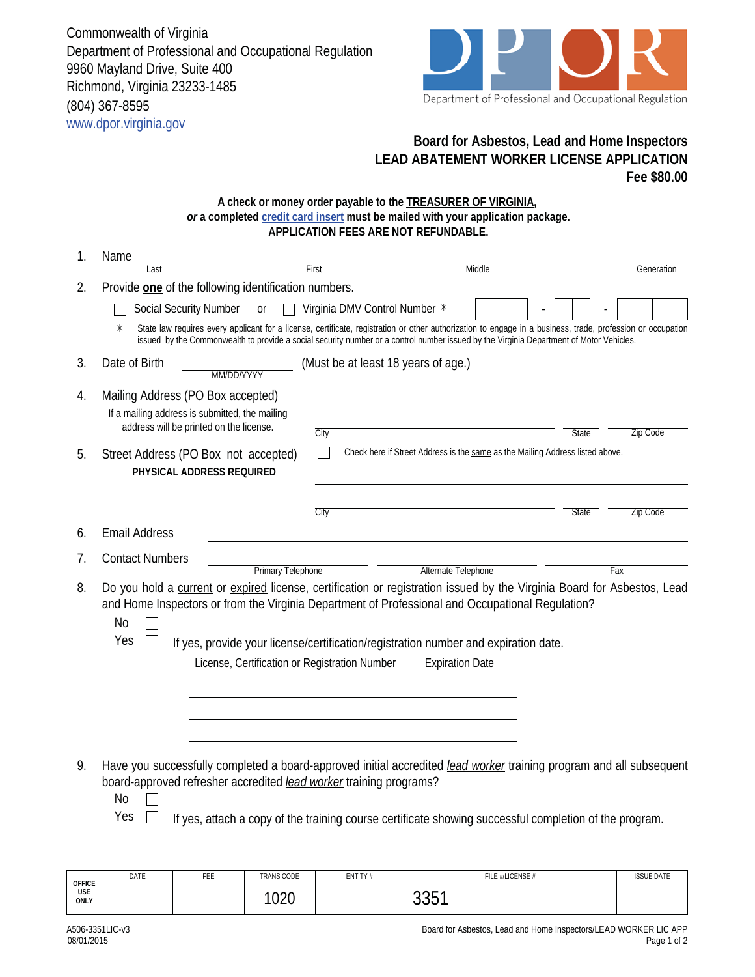Commonwealth of Virginia Department of Professional and Occupational Regulation 9960 Mayland Drive, Suite 400 Richmond, Virginia 23233-1485 (804) 367-8595 www.dpor.virginia.gov



## **Board for Asbestos, Lead and Home Inspectors LEAD ABATEMENT WORKER LICENSE APPLICATION Fee \$80.00**

## **A check or money order payable to the TREASURER OF VIRGINIA,**  *or* **a completed credit card insert must be mailed with your application package. APPLICATION FEES ARE NOT REFUNDABLE.**

| 1. | Name                                                                                                                                                                                                    |                                                                                                                                                                                                                                                                                                        |                          |  |  |  |  |
|----|---------------------------------------------------------------------------------------------------------------------------------------------------------------------------------------------------------|--------------------------------------------------------------------------------------------------------------------------------------------------------------------------------------------------------------------------------------------------------------------------------------------------------|--------------------------|--|--|--|--|
|    | First<br>Last                                                                                                                                                                                           | Middle                                                                                                                                                                                                                                                                                                 | Generation               |  |  |  |  |
| 2. | Provide one of the following identification numbers.                                                                                                                                                    |                                                                                                                                                                                                                                                                                                        |                          |  |  |  |  |
|    | Social Security Number<br>or                                                                                                                                                                            | Virginia DMV Control Number *                                                                                                                                                                                                                                                                          |                          |  |  |  |  |
|    | ⋇                                                                                                                                                                                                       | State law requires every applicant for a license, certificate, registration or other authorization to engage in a business, trade, profession or occupation<br>issued by the Commonwealth to provide a social security number or a control number issued by the Virginia Department of Motor Vehicles. |                          |  |  |  |  |
| 3. | Date of Birth<br>MM/DD/YYYY                                                                                                                                                                             | (Must be at least 18 years of age.)                                                                                                                                                                                                                                                                    |                          |  |  |  |  |
| 4. | Mailing Address (PO Box accepted)                                                                                                                                                                       |                                                                                                                                                                                                                                                                                                        |                          |  |  |  |  |
|    | If a mailing address is submitted, the mailing                                                                                                                                                          |                                                                                                                                                                                                                                                                                                        |                          |  |  |  |  |
|    | address will be printed on the license.<br>City                                                                                                                                                         |                                                                                                                                                                                                                                                                                                        | Zip Code<br>State        |  |  |  |  |
| 5. | Street Address (PO Box not accepted)<br>PHYSICAL ADDRESS REQUIRED                                                                                                                                       | Check here if Street Address is the same as the Mailing Address listed above.                                                                                                                                                                                                                          |                          |  |  |  |  |
|    | City                                                                                                                                                                                                    |                                                                                                                                                                                                                                                                                                        | Zip Code<br><b>State</b> |  |  |  |  |
| 6. | <b>Email Address</b>                                                                                                                                                                                    |                                                                                                                                                                                                                                                                                                        |                          |  |  |  |  |
| 7. | <b>Contact Numbers</b>                                                                                                                                                                                  |                                                                                                                                                                                                                                                                                                        |                          |  |  |  |  |
|    | <b>Primary Telephone</b>                                                                                                                                                                                | Alternate Telephone                                                                                                                                                                                                                                                                                    | Fax                      |  |  |  |  |
| 8. | Do you hold a current or expired license, certification or registration issued by the Virginia Board for Asbestos, Lead                                                                                 |                                                                                                                                                                                                                                                                                                        |                          |  |  |  |  |
|    | and Home Inspectors or from the Virginia Department of Professional and Occupational Regulation?<br><b>No</b>                                                                                           |                                                                                                                                                                                                                                                                                                        |                          |  |  |  |  |
|    | Yes                                                                                                                                                                                                     |                                                                                                                                                                                                                                                                                                        |                          |  |  |  |  |
|    |                                                                                                                                                                                                         | If yes, provide your license/certification/registration number and expiration date.<br>License, Certification or Registration Number<br><b>Expiration Date</b>                                                                                                                                         |                          |  |  |  |  |
|    |                                                                                                                                                                                                         |                                                                                                                                                                                                                                                                                                        |                          |  |  |  |  |
|    |                                                                                                                                                                                                         |                                                                                                                                                                                                                                                                                                        |                          |  |  |  |  |
|    |                                                                                                                                                                                                         |                                                                                                                                                                                                                                                                                                        |                          |  |  |  |  |
|    |                                                                                                                                                                                                         |                                                                                                                                                                                                                                                                                                        |                          |  |  |  |  |
|    |                                                                                                                                                                                                         |                                                                                                                                                                                                                                                                                                        |                          |  |  |  |  |
| 9. | Have you successfully completed a board-approved initial accredited <i>lead worker</i> training program and all subsequent<br>board-approved refresher accredited <i>lead worker</i> training programs? |                                                                                                                                                                                                                                                                                                        |                          |  |  |  |  |
|    | No                                                                                                                                                                                                      |                                                                                                                                                                                                                                                                                                        |                          |  |  |  |  |
|    | Yes                                                                                                                                                                                                     | If yes, attach a copy of the training course certificate showing successful completion of the program.                                                                                                                                                                                                 |                          |  |  |  |  |

| <b>OFFICE</b> | DATE | FEE | <b>TRANS CODE</b> | ENTITY# | FILE #/LICENSE # | <b>ISSUE DATE</b> |
|---------------|------|-----|-------------------|---------|------------------|-------------------|
| USE<br>ONLY   |      |     | 1000<br>∪∠∪       |         | $00-4$<br>JUJ 1  |                   |